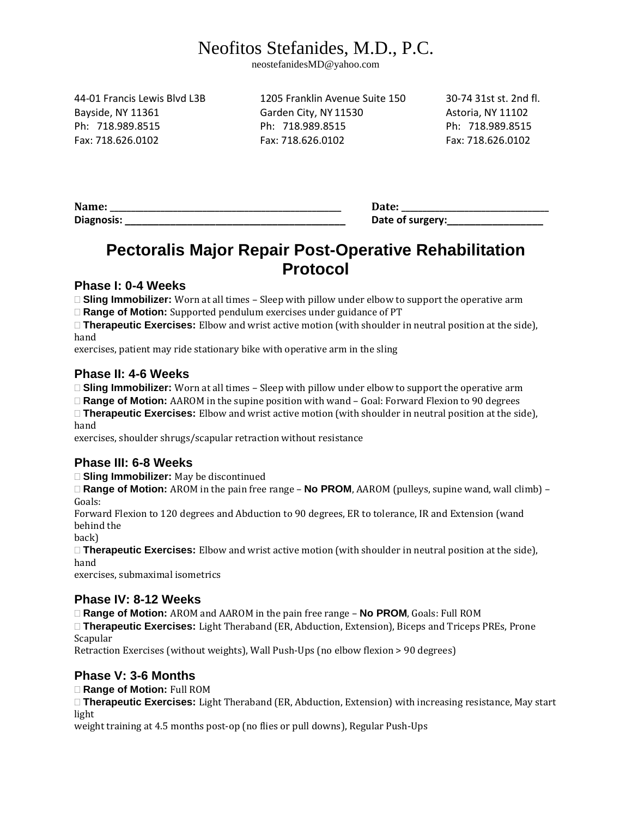# Neofitos Stefanides, M.D., P.C.

neostefanidesMD@yahoo.com

44-01 Francis Lewis Blvd L3B 1205 Franklin Avenue Suite 150 30-74 31st st. 2nd fl.

Bayside, NY 11361 Garden City, NY 11530 Astoria, NY 11102 Ph: 718.989.8515 Ph: 718.989.8515 Ph: 718.989.8515 Fax: 718.626.0102 Fax: 718.626.0102 Fax: 718.626.0102

Diagnosis: **Community Community Community Community Community Community Community Community Community Community** 

**Name: \_\_\_\_\_\_\_\_\_\_\_\_\_\_\_\_\_\_\_\_\_\_\_\_\_\_\_\_\_\_\_\_\_\_\_\_\_\_\_\_\_\_\_\_\_\_\_\_\_\_\_\_\_\_\_ Date: \_\_\_\_\_\_\_\_\_\_\_\_\_\_\_\_\_\_\_\_\_\_\_\_\_\_\_\_\_\_\_\_\_\_\_**

## **Pectoralis Major Repair Post-Operative Rehabilitation Protocol**

#### **Phase I: 0-4 Weeks**

**Sling Immobilizer:** Worn at all times – Sleep with pillow under elbow to support the operative arm **Range of Motion:** Supported pendulum exercises under guidance of PT

**Therapeutic Exercises:** Elbow and wrist active motion (with shoulder in neutral position at the side), hand

exercises, patient may ride stationary bike with operative arm in the sling

#### **Phase II: 4-6 Weeks**

**Sling Immobilizer:** Worn at all times – Sleep with pillow under elbow to support the operative arm

**Range of Motion:** AAROM in the supine position with wand – Goal: Forward Flexion to 90 degrees

**Therapeutic Exercises:** Elbow and wrist active motion (with shoulder in neutral position at the side), hand

exercises, shoulder shrugs/scapular retraction without resistance

### **Phase III: 6-8 Weeks**

□ **Sling Immobilizer:** May be discontinued

**Range of Motion:** AROM in the pain free range – **No PROM**, AAROM (pulleys, supine wand, wall climb) – Goals:

Forward Flexion to 120 degrees and Abduction to 90 degrees, ER to tolerance, IR and Extension (wand behind the

back)

**Therapeutic Exercises:** Elbow and wrist active motion (with shoulder in neutral position at the side), hand

exercises, submaximal isometrics

### **Phase IV: 8-12 Weeks**

**Range of Motion:** AROM and AAROM in the pain free range – **No PROM**, Goals: Full ROM

**Therapeutic Exercises:** Light Theraband (ER, Abduction, Extension), Biceps and Triceps PREs, Prone Scapular

Retraction Exercises (without weights), Wall Push‐Ups (no elbow flexion > 90 degrees)

### **Phase V: 3-6 Months**

**Range of Motion:** Full ROM

**Therapeutic Exercises:** Light Theraband (ER, Abduction, Extension) with increasing resistance, May start light

weight training at 4.5 months post-op (no flies or pull downs), Regular Push-Ups